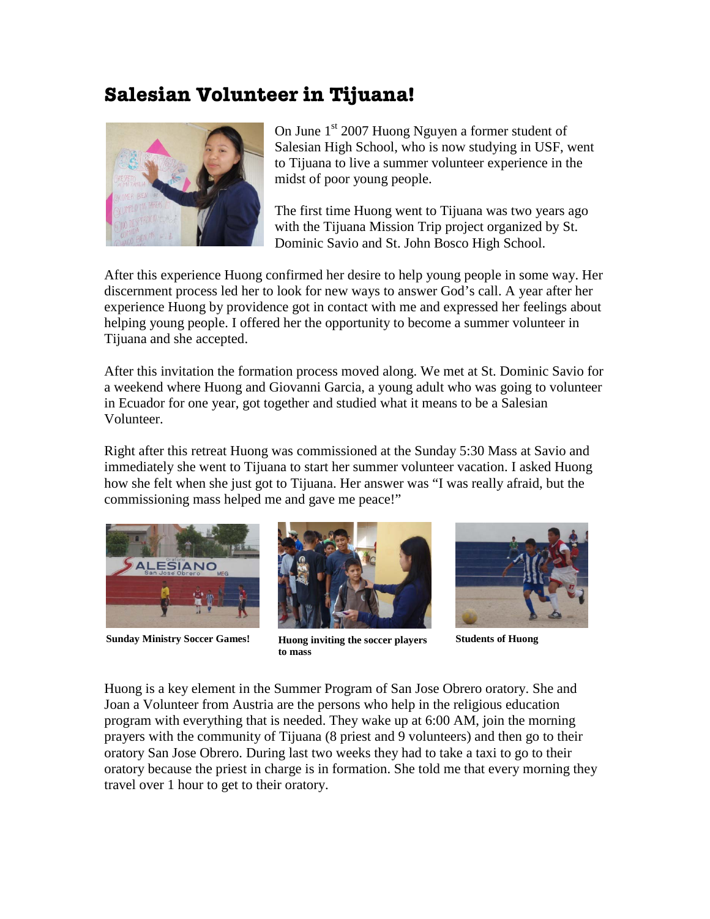## **Salesian Volunteer in Tijuana!**



On June 1<sup>st</sup> 2007 Huong Nguyen a former student of Salesian High School, who is now studying in USF, went to Tijuana to live a summer volunteer experience in the midst of poor young people.

The first time Huong went to Tijuana was two years ago with the Tijuana Mission Trip project organized by St. Dominic Savio and St. John Bosco High School.

After this experience Huong confirmed her desire to help young people in some way. Her discernment process led her to look for new ways to answer God's call. A year after her experience Huong by providence got in contact with me and expressed her feelings about helping young people. I offered her the opportunity to become a summer volunteer in Tijuana and she accepted.

After this invitation the formation process moved along. We met at St. Dominic Savio for a weekend where Huong and Giovanni Garcia, a young adult who was going to volunteer in Ecuador for one year, got together and studied what it means to be a Salesian Volunteer.

Right after this retreat Huong was commissioned at the Sunday 5:30 Mass at Savio and immediately she went to Tijuana to start her summer volunteer vacation. I asked Huong how she felt when she just got to Tijuana. Her answer was "I was really afraid, but the commissioning mass helped me and gave me peace!"





**Sunday Ministry Soccer Games! Huong inviting the soccer players to mass**



**Students of Huong**

Huong is a key element in the Summer Program of San Jose Obrero oratory. She and Joan a Volunteer from Austria are the persons who help in the religious education program with everything that is needed. They wake up at 6:00 AM, join the morning prayers with the community of Tijuana (8 priest and 9 volunteers) and then go to their oratory San Jose Obrero. During last two weeks they had to take a taxi to go to their oratory because the priest in charge is in formation. She told me that every morning they travel over 1 hour to get to their oratory.